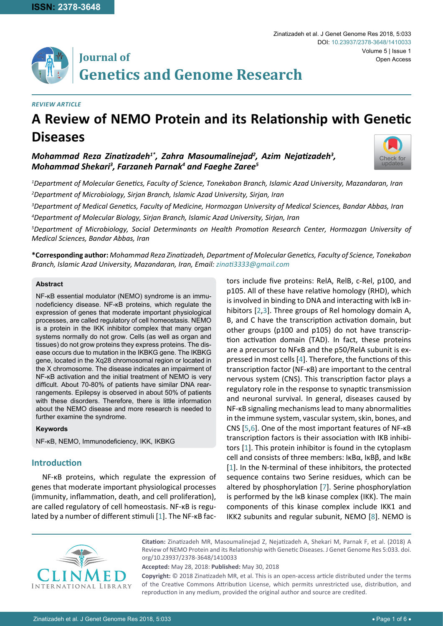# **Journal of Genetics and Genome Research**

#### *REVIEW Article*

## **A Review of NEMO Protein and its Relationship with Genetic Diseases**

## *Mohammad Reza Zinatizadeh1\*, Zahra Masoumalinejad2 , Azim Nejatizadeh<sup>3</sup> , Mohammad Shekari3 , Farzaneh Parnak4 and Faeghe Zaree5*



*1 Department of Molecular Genetics, Faculty of Science, Tonekabon Branch, Islamic Azad University, Mazandaran, Iran 2 Department of Microbiology, Sirjan Branch, Islamic Azad University, Sirjan, Iran*

*3 Department of Medical Genetics, Faculty of Medicine, Hormozgan University of Medical Sciences, Bandar Abbas, Iran 4 Department of Molecular Biology, Sirjan Branch, Islamic Azad University, Sirjan, Iran*

*5 Department of Microbiology, Social Determinants on Health Promotion Research Center, Hormozgan University of Medical Sciences, Bandar Abbas, Iran*

**\*Corresponding author:** *Mohammad Reza Zinatizadeh, Department of Molecular Genetics, Faculty of Science, Tonekabon Branch, Islamic Azad University, Mazandaran, Iran, Email: zinati3333@gmail.com*

#### **Abstract**

NF-κB essential modulator (NEMO) syndrome is an immunodeficiency disease. NF-κB proteins, which regulate the expression of genes that moderate important physiological processes, are called regulatory of cell homeostasis. NEMO is a protein in the IKK inhibitor complex that many organ systems normally do not grow. Cells (as well as organ and tissues) do not grow proteins they express proteins. The disease occurs due to mutation in the IKBKG gene. The IKBKG gene, located in the Xq28 chromosomal region or located in the X chromosome. The disease indicates an impairment of NF-κB activation and the initial treatment of NEMO is very difficult. About 70-80% of patients have similar DNA rearrangements. Epilepsy is observed in about 50% of patients with these disorders. Therefore, there is little information about the NEMO disease and more research is needed to further examine the syndrome.

#### **Keywords**

NF-κB, NEMO, Immunodeficiency, IKK, IKBKG

## **Introduction**

NF-κB proteins, which regulate the expression of genes that moderate important physiological processes (immunity, inflammation, death, and cell proliferation), are called regulatory of cell homeostasis. NF-κB is regulated by a number of different stimuli [[1](#page-4-5)]. The NF-κB factors include five proteins: RelA, RelB, c-Rel, p100, and p105. All of these have relative homology (RHD), which is involved in binding to DNA and interacting with lκB inhibitors [\[2,](#page-4-0)[3](#page-4-1)]. Three groups of Rel homology domain A, B, and C have the transcription activation domain, but other groups (p100 and p105) do not have transcription activation domain (TAD). In fact, these proteins are a precursor to NFκB and the p50/RelA subunit is expressed in most cells [[4](#page-4-2)]. Therefore, the functions of this transcription factor (NF-κB) are important to the central nervous system (CNS). This transcription factor plays a regulatory role in the response to synaptic transmission and neuronal survival. In general, diseases caused by NF-κB signaling mechanisms lead to many abnormalities in the immune system, vascular system, skin, bones, and CNS [[5](#page-4-3)[,6\]](#page-4-4). One of the most important features of NF-κB transcription factors is their association with IKB inhibitors [\[1\]](#page-4-5). This protein inhibitor is found in the cytoplasm cell and consists of three members: IκBα, IκBβ, and IκBε [\[1\]](#page-4-5). In the N-terminal of these inhibitors, the protected sequence contains two Serine residues, which can be altered by phosphorylation [\[7](#page-4-6)]. Serine phosphorylation is performed by the IκB kinase complex (IKK). The main components of this kinase complex include IKK1 and IKK2 subunits and regular subunit, NEMO [[8](#page-4-7)]. NEMO is



**Citation:** Zinatizadeh MR, Masoumalinejad Z, Nejatizadeh A, Shekari M, Parnak F, et al. (2018) A Review of NEMO Protein and its Relationship with Genetic Diseases. J Genet Genome Res 5:033. [doi.](https://doi.org/10.23937/2378-3648/1410033) [org/10.23937/2378-3648/1410033](https://doi.org/10.23937/2378-3648/1410033)

**Accepted:** May 28, 2018: **Published:** May 30, 2018

**Copyright:** © 2018 Zinatizadeh MR, et al. This is an open-access article distributed under the terms of the Creative Commons Attribution License, which permits unrestricted use, distribution, and reproduction in any medium, provided the original author and source are credited.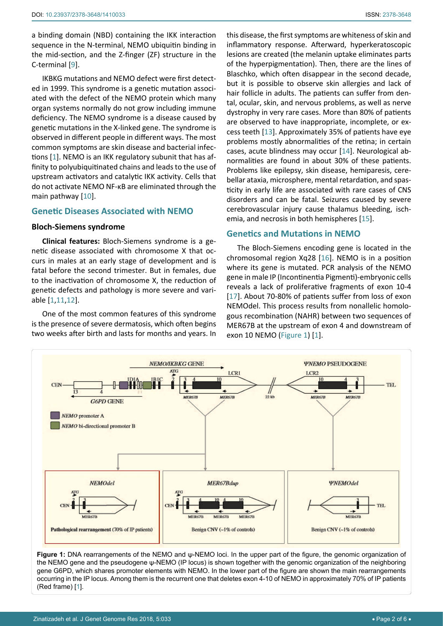a binding domain (NBD) containing the IKK interaction sequence in the N-terminal, NEMO ubiquitin binding in the mid-section, and the Z-finger (ZF) structure in the C-terminal [\[9](#page-4-13)].

IKBKG mutations and NEMO defect were first detected in 1999. This syndrome is a genetic mutation associated with the defect of the NEMO protein which many organ systems normally do not grow including immune deficiency. The NEMO syndrome is a disease caused by genetic mutations in the X-linked gene. The syndrome is observed in different people in different ways. The most common symptoms are skin disease and bacterial infections [\[1\]](#page-4-5). NEMO is an IKK regulatory subunit that has affinity to polyubiquitinated chains and leads to the use of upstream activators and catalytic IKK activity. Cells that do not activate NEMO NF-κB are eliminated through the main pathway [[10](#page-4-14)].

#### **Genetic Diseases Associated with NEMO**

#### **Bloch-Siemens syndrome**

**Clinical features:** Bloch-Siemens syndrome is a genetic disease associated with chromosome X that occurs in males at an early stage of development and is fatal before the second trimester. But in females, due to the inactivation of chromosome X, the reduction of genetic defects and pathology is more severe and variable [\[1,](#page-4-5)[11,](#page-4-15)[12\]](#page-4-16).

One of the most common features of this syndrome is the presence of severe dermatosis, which often begins two weeks after birth and lasts for months and years. In this disease, the first symptoms are whiteness of skin and inflammatory response. Afterward, hyperkeratoscopic lesions are created (the melanin uptake eliminates parts of the hyperpigmentation). Then, there are the lines of Blaschko, which often disappear in the second decade, but it is possible to observe skin allergies and lack of hair follicle in adults. The patients can suffer from dental, ocular, skin, and nervous problems, as well as nerve dystrophy in very rare cases. More than 80% of patients are observed to have inappropriate, incomplete, or excess teeth [\[13](#page-4-8)]. Approximately 35% of patients have eye problems mostly abnormalities of the retina; in certain cases, acute blindness may occur [\[14](#page-4-9)]. Neurological abnormalities are found in about 30% of these patients. Problems like epilepsy, skin disease, hemiparesis, cerebellar ataxia, microsphere, mental retardation, and spasticity in early life are associated with rare cases of CNS disorders and can be fatal. Seizures caused by severe cerebrovascular injury cause thalamus bleeding, ischemia, and necrosis in both hemispheres [[15\]](#page-4-10).

## **Genetics and Mutations in NEMO**

The Bloch-Siemens encoding gene is located in the chromosomal region Xq28 [[16\]](#page-4-11). NEMO is in a position where its gene is mutated. PCR analysis of the NEMO gene in male IP (Incontinentia Pigmenti)-embryonic cells reveals a lack of proliferative fragments of exon 10-4 [\[17](#page-4-12)]. About 70-80% of patients suffer from loss of exon NEMOdel. This process results from nonallelic homologous recombination (NAHR) between two sequences of MER67B at the upstream of exon 4 and downstream of exon 10 NEMO (Figure 1) [[1](#page-4-5)].



**Figure 1:** DNA rearrangements of the NEMO and ψ-NEMO loci. In the upper part of the figure, the genomic organization of the NEMO gene and the pseudogene ψ-NEMO (IP locus) is shown together with the genomic organization of the neighboring gene G6PD, which shares promoter elements with NEMO. In the lower part of the figure are shown the main rearrangements occurring in the IP locus. Among them is the recurrent one that deletes exon 4-10 of NEMO in approximately 70% of IP patients (Red frame) [[1\]](#page-4-5).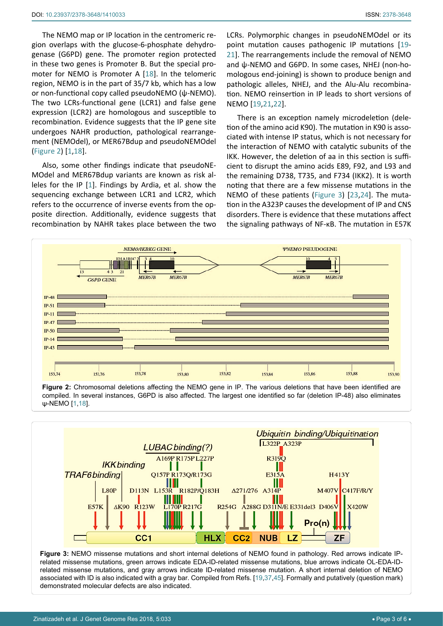The NEMO map or IP location in the centromeric region overlaps with the glucose-6-phosphate dehydrogenase (G6PD) gene. The promoter region protected in these two genes is Promoter B. But the special promoter for NEMO is Promoter A [\[18](#page-4-22)]. In the telomeric region, NEMO is in the part of 35/7 kb, which has a low or non-functional copy called pseudoNEMO (ψ-NEMO). The two LCRs-functional gene (LCR1) and false gene expression (LCR2) are homologous and susceptible to recombination. Evidence suggests that the IP gene site undergoes NAHR production, pathological rearrangement (NEMOdel), or MER67Bdup and pseudoNEMOdel (Figure 2) [[1,](#page-4-5)[18](#page-4-22)].

Also, some other findings indicate that pseudoNE-MOdel and MER67Bdup variants are known as risk alleles for the IP [\[1](#page-4-5)]. Findings by Ardia, et al. show the sequencing exchange between LCR1 and LCR2, which refers to the occurrence of inverse events from the opposite direction. Additionally, evidence suggests that recombination by NAHR takes place between the two LCRs. Polymorphic changes in pseudoNEMOdel or its point mutation causes pathogenic IP mutations [\[19](#page-4-17)- [21\]](#page-4-18). The rearrangements include the removal of NEMO and ψ-NEMO and G6PD. In some cases, NHEJ (non-homologous end-joining) is shown to produce benign and pathologic alleles, NHEJ, and the Alu-Alu recombination. NEMO reinsertion in IP leads to short versions of NEMO [[19,](#page-4-17)[21,](#page-4-18)[22\]](#page-4-19).

There is an exception namely microdeletion (deletion of the amino acid K90). The mutation in K90 is associated with intense IP status, which is not necessary for the interaction of NEMO with catalytic subunits of the IKK. However, the deletion of aa in this section is sufficient to disrupt the amino acids E89, F92, and L93 and the remaining D738, T735, and F734 (IKK2). It is worth noting that there are a few missense mutations in the NEMO of these patients (Figure 3) [\[23,](#page-4-20)[24](#page-4-21)]. The mutation in the A323P causes the development of IP and CNS disorders. There is evidence that these mutations affect the signaling pathways of NF-κB. The mutation in E57K



**Figure 2:** Chromosomal deletions affecting the NEMO gene in IP. The various deletions that have been identified are compiled. In several instances, G6PD is also affected. The largest one identified so far (deletion IP-48) also eliminates ψ-NEMO [[1](#page-4-5),[18\]](#page-4-22).



**Figure 3:** NEMO missense mutations and short internal deletions of NEMO found in pathology. Red arrows indicate IPrelated missense mutations, green arrows indicate EDA-ID-related missense mutations, blue arrows indicate OL-EDA-IDrelated missense mutations, and gray arrows indicate ID-related missense mutation. A short internal deletion of NEMO associated with ID is also indicated with a gray bar. Compiled from Refs. [[19](#page-4-17),[37](#page-5-0),[45\]](#page-5-1). Formally and putatively (question mark) demonstrated molecular defects are also indicated.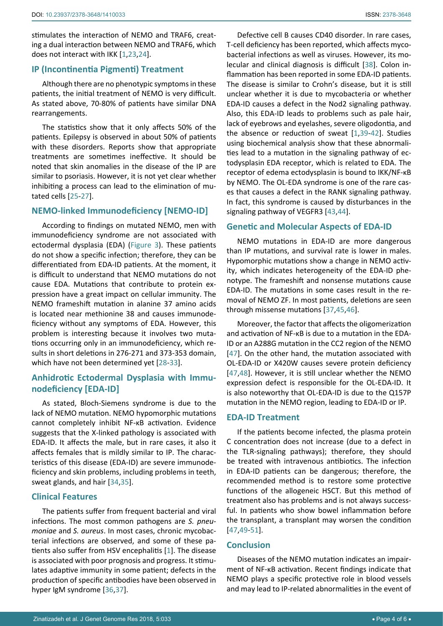stimulates the interaction of NEMO and TRAF6, creating a dual interaction between NEMO and TRAF6, which does not interact with IKK [[1](#page-4-5)[,23](#page-4-20)[,24](#page-4-21)].

### **IP (Incontinentia Pigmenti) Treatment**

Although there are no phenotypic symptoms in these patients, the initial treatment of NEMO is very difficult. As stated above, 70-80% of patients have similar DNA rearrangements.

The statistics show that it only affects 50% of the patients. Epilepsy is observed in about 50% of patients with these disorders. Reports show that appropriate treatments are sometimes ineffective. It should be noted that skin anomalies in the disease of the IP are similar to psoriasis. However, it is not yet clear whether inhibiting a process can lead to the elimination of mutated cells [\[25](#page-4-23)-[27\]](#page-4-24).

## **NEMO-linked Immunodeficiency [NEMO-ID]**

According to findings on mutated NEMO, men with immunodeficiency syndrome are not associated with ectodermal dysplasia (EDA) (Figure 3). These patients do not show a specific infection; therefore, they can be differentiated from EDA-ID patients. At the moment, it is difficult to understand that NEMO mutations do not cause EDA. Mutations that contribute to protein expression have a great impact on cellular immunity. The NEMO frameshift mutation in alanine 37 amino acids is located near methionine 38 and causes immunodeficiency without any symptoms of EDA. However, this problem is interesting because it involves two mutations occurring only in an immunodeficiency, which results in short deletions in 276-271 and 373-353 domain, which have not been determined yet [\[28-](#page-5-2)[33](#page-5-3)].

## **Anhidrotic Ectodermal Dysplasia with Immunodeficiency [EDA-ID]**

As stated, Bloch-Siemens syndrome is due to the lack of NEMO mutation. NEMO hypomorphic mutations cannot completely inhibit NF-κB activation. Evidence suggests that the X-linked pathology is associated with EDA-ID. It affects the male, but in rare cases, it also it affects females that is mildly similar to IP. The characteristics of this disease (EDA-ID) are severe immunodeficiency and skin problems, including problems in teeth, sweat glands, and hair [\[34](#page-5-4)[,35](#page-5-5)].

#### **Clinical Features**

The patients suffer from frequent bacterial and viral infections. The most common pathogens are *S. pneumoniae* and *S. aureus*. In most cases, chronic mycobacterial infections are observed, and some of these patients also suffer from HSV encephalitis [[1\]](#page-4-5). The disease is associated with poor prognosis and progress. It stimulates adaptive immunity in some patient; defects in the production of specific antibodies have been observed in hyper IgM syndrome [\[36](#page-5-6)[,37](#page-5-0)].

Defective cell B causes CD40 disorder. In rare cases, T-cell deficiency has been reported, which affects mycobacterial infections as well as viruses. However, its molecular and clinical diagnosis is difficult [\[38\]](#page-5-7). Colon inflammation has been reported in some EDA-ID patients. The disease is similar to Crohn's disease, but it is still unclear whether it is due to mycobacteria or whether EDA-ID causes a defect in the Nod2 signaling pathway. Also, this EDA-ID leads to problems such as pale hair, lack of eyebrows and eyelashes, severe oligodontia, and the absence or reduction of sweat [[1](#page-4-5),[39](#page-5-8)[-42](#page-5-9)]. Studies using biochemical analysis show that these abnormalities lead to a mutation in the signaling pathway of ectodysplasin EDA receptor, which is related to EDA. The receptor of edema ectodysplasin is bound to IKK/NF-κB by NEMO. The OL-EDA syndrome is one of the rare cases that causes a defect in the RANK signaling pathway. In fact, this syndrome is caused by disturbances in the signaling pathway of VEGFR3 [\[43](#page-5-10),[44](#page-5-11)].

#### **Genetic and Molecular Aspects of EDA-ID**

NEMO mutations in EDA-ID are more dangerous than IP mutations, and survival rate is lower in males. Hypomorphic mutations show a change in NEMO activity, which indicates heterogeneity of the EDA-ID phenotype. The frameshift and nonsense mutations cause EDA-ID. The mutations in some cases result in the removal of NEMO ZF. In most patients, deletions are seen through missense mutations [[37](#page-5-0),[45,](#page-5-1)[46\]](#page-5-12).

Moreover, the factor that affects the oligomerization and activation of NF-κB is due to a mutation in the EDA-ID or an A288G mutation in the CC2 region of the NEMO [\[47](#page-5-13)]. On the other hand, the mutation associated with OL-EDA-ID or X420W causes severe protein deficiency [\[47](#page-5-13)[,48](#page-5-14)]. However, it is still unclear whether the NEMO expression defect is responsible for the OL-EDA-ID. It is also noteworthy that OL-EDA-ID is due to the Q157P mutation in the NEMO region, leading to EDA-ID or IP.

#### **EDA-ID Treatment**

If the patients become infected, the plasma protein C concentration does not increase (due to a defect in the TLR-signaling pathways); therefore, they should be treated with intravenous antibiotics. The infection in EDA-ID patients can be dangerous; therefore, the recommended method is to restore some protective functions of the allogeneic HSCT. But this method of treatment also has problems and is not always successful. In patients who show bowel inflammation before the transplant, a transplant may worsen the condition [\[47](#page-5-13)[,49](#page-5-15)-[51\]](#page-5-16).

#### **Conclusion**

Diseases of the NEMO mutation indicates an impairment of NF-κB activation. Recent findings indicate that NEMO plays a specific protective role in blood vessels and may lead to IP-related abnormalities in the event of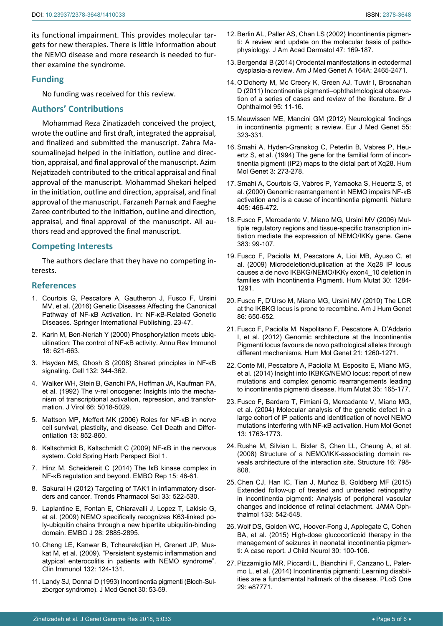its functional impairment. This provides molecular targets for new therapies. There is little information about the NEMO disease and more research is needed to further examine the syndrome.

## **Funding**

No funding was received for this review.

## **Authors' Contributions**

Mohammad Reza Zinatizadeh conceived the project, wrote the outline and first draft, integrated the appraisal, and finalized and submitted the manuscript. Zahra Masoumalinejad helped in the initiation, outline and direction, appraisal, and final approval of the manuscript. Azim Nejatizadeh contributed to the critical appraisal and final approval of the manuscript. Mohammad Shekari helped in the initiation, outline and direction, appraisal, and final approval of the manuscript. Farzaneh Parnak and Faeghe Zaree contributed to the initiation, outline and direction, appraisal, and final approval of the manuscript. All authors read and approved the final manuscript.

## **Competing Interests**

The authors declare that they have no competing interests.

#### **References**

- <span id="page-4-5"></span>1. Courtois G, Pescatore A, Gautheron J, Fusco F, Ursini MV, et al. (2016) Genetic Diseases Affecting the Canonical Pathway of NF-κB Activation. In: NF-κB-Related Genetic Diseases. Springer International Publishing, 23-47.
- <span id="page-4-0"></span>2. [Karin M, Ben-Neriah Y \(2000\) Phosphorylation meets ubiq](https://www.ncbi.nlm.nih.gov/pubmed/10837071)[uitination: The control of NF-κB activity. Annu Rev Immunol](https://www.ncbi.nlm.nih.gov/pubmed/10837071)  [18: 621-663.](https://www.ncbi.nlm.nih.gov/pubmed/10837071)
- <span id="page-4-1"></span>3. [Hayden MS, Ghosh S \(2008\) Shared principles in NF-κB](https://www.ncbi.nlm.nih.gov/pubmed/18267068)  [signaling. Cell 132: 344-362](https://www.ncbi.nlm.nih.gov/pubmed/18267068).
- <span id="page-4-2"></span>4. [Walker WH, Stein B, Ganchi PA, Hoffman JA, Kaufman PA,](https://www.ncbi.nlm.nih.gov/pubmed/1321284)  [et al. \(1992\) The v-rel oncogene: Insights into the mecha](https://www.ncbi.nlm.nih.gov/pubmed/1321284)[nism of transcriptional activation, repression, and transfor](https://www.ncbi.nlm.nih.gov/pubmed/1321284)[mation. J Virol 66: 5018-5029](https://www.ncbi.nlm.nih.gov/pubmed/1321284).
- <span id="page-4-3"></span>5. [Mattson MP, Meffert MK \(2006\) Roles for NF-κB in nerve](https://www.nature.com/articles/4401837)  [cell survival, plasticity, and disease. Cell Death and Differ](https://www.nature.com/articles/4401837)[entiation 13: 852-860](https://www.nature.com/articles/4401837).
- <span id="page-4-4"></span>6. [Kaltschmidt B, Kaltschmidt C \(2009\) NF-κB in the nervous](https://www.ncbi.nlm.nih.gov/pubmed/20066105)  [system. Cold Spring Harb Perspect Biol 1.](https://www.ncbi.nlm.nih.gov/pubmed/20066105)
- <span id="page-4-6"></span>7. [Hinz M, Scheidereit C \(2014\) The IκB kinase complex in](https://www.ncbi.nlm.nih.gov/pubmed/24375677)  [NF-κB regulation and beyond. EMBO Rep 15: 46-61.](https://www.ncbi.nlm.nih.gov/pubmed/24375677)
- <span id="page-4-7"></span>8. [Sakurai H \(2012\) Targeting of TAK1 in inflammatory disor](https://www.ncbi.nlm.nih.gov/pubmed/22795313)[ders and cancer. Trends Pharmacol Sci 33: 522-530.](https://www.ncbi.nlm.nih.gov/pubmed/22795313)
- <span id="page-4-13"></span>9. [Laplantine E, Fontan E, Chiaravalli J, Lopez T, Lakisic G,](https://www.ncbi.nlm.nih.gov/pmc/articles/PMC2760117/)  [et al. \(2009\) NEMO specifically recognizes K63-linked po](https://www.ncbi.nlm.nih.gov/pmc/articles/PMC2760117/)[ly-ubiquitin chains through a new bipartite ubiquitin-binding](https://www.ncbi.nlm.nih.gov/pmc/articles/PMC2760117/)  [domain. EMBO J 28: 2885-2895.](https://www.ncbi.nlm.nih.gov/pmc/articles/PMC2760117/)
- <span id="page-4-14"></span>10. [Cheng LE, Kanwar B, Tcheurekdjian H, Grenert JP, Mus](https://www.ncbi.nlm.nih.gov/pubmed/19375390)[kat M, et al. \(2009\). "Persistent systemic inflammation and](https://www.ncbi.nlm.nih.gov/pubmed/19375390)  [atypical enterocolitis in patients with NEMO syndrome".](https://www.ncbi.nlm.nih.gov/pubmed/19375390)  [Clin Immunol 132: 124-131.](https://www.ncbi.nlm.nih.gov/pubmed/19375390)
- <span id="page-4-15"></span>11. [Landy SJ, Donnai D \(1993\) Incontinentia pigmenti \(Bloch-Sul](https://www.ncbi.nlm.nih.gov/pmc/articles/PMC1016235/)[zberger syndrome\). J Med Genet 30: 53-59.](https://www.ncbi.nlm.nih.gov/pmc/articles/PMC1016235/)
- <span id="page-4-16"></span>12. [Berlin AL, Paller AS, Chan LS \(2002\) Incontinentia pigmen](https://www.ncbi.nlm.nih.gov/pubmed/12140463)[ti: A review and update on the molecular basis of patho](https://www.ncbi.nlm.nih.gov/pubmed/12140463)[physiology. J Am Acad Dermatol 47: 169-187.](https://www.ncbi.nlm.nih.gov/pubmed/12140463)
- <span id="page-4-8"></span>13. [Bergendal B \(2014\) Orodental manifestations in ectodermal](https://www.ncbi.nlm.nih.gov/pubmed/24719393)  [dysplasia-a review. Am J Med Genet A 164A: 2465-2471.](https://www.ncbi.nlm.nih.gov/pubmed/24719393)
- <span id="page-4-9"></span>14. [O'Doherty M, Mc Creery K, Green AJ, Tuwir I, Brosnahan](https://www.ncbi.nlm.nih.gov/pubmed/20829317)  [D \(2011\) Incontinentia pigmenti–ophthalmological observa](https://www.ncbi.nlm.nih.gov/pubmed/20829317)[tion of a series of cases and review of the literature. Br J](https://www.ncbi.nlm.nih.gov/pubmed/20829317)  [Ophthalmol 95: 11-16.](https://www.ncbi.nlm.nih.gov/pubmed/20829317)
- <span id="page-4-10"></span>15. [Meuwissen ME, Mancini GM \(2012\) Neurological findings](https://www.ncbi.nlm.nih.gov/pubmed/22564885)  [in incontinentia pigmenti; a review. Eur J Med Genet 55:](https://www.ncbi.nlm.nih.gov/pubmed/22564885)  [323-331.](https://www.ncbi.nlm.nih.gov/pubmed/22564885)
- <span id="page-4-11"></span>16. [Smahi A, Hyden-Granskog C, Peterlin B, Vabres P, Heu](https://www.ncbi.nlm.nih.gov/pubmed/8004094)[ertz S, et al. \(1994\) The gene for the familial form of incon](https://www.ncbi.nlm.nih.gov/pubmed/8004094)[tinentia pigmenti \(IP2\) maps to the distal part of Xq28. Hum](https://www.ncbi.nlm.nih.gov/pubmed/8004094)  [Mol Genet 3: 273-278.](https://www.ncbi.nlm.nih.gov/pubmed/8004094)
- <span id="page-4-12"></span>17. [Smahi A, Courtois G, Vabres P, Yamaoka S, Heuertz S, et](https://www.ncbi.nlm.nih.gov/pubmed/10839543)  [al. \(2000\) Genomic rearrangement in NEMO impairs NF-κB](https://www.ncbi.nlm.nih.gov/pubmed/10839543)  [activation and is a cause of incontinentia pigmenti. Nature](https://www.ncbi.nlm.nih.gov/pubmed/10839543)  [405: 466-472.](https://www.ncbi.nlm.nih.gov/pubmed/10839543)
- <span id="page-4-22"></span>18. [Fusco F, Mercadante V, Miano MG, Ursini MV \(2006\) Mul](https://www.ncbi.nlm.nih.gov/pubmed/16997509)[tiple regulatory regions and tissue-specific transcription ini](https://www.ncbi.nlm.nih.gov/pubmed/16997509)[tiation mediate the expression of NEMO/IKKγ gene. Gene](https://www.ncbi.nlm.nih.gov/pubmed/16997509)  [383: 99-107.](https://www.ncbi.nlm.nih.gov/pubmed/16997509)
- <span id="page-4-17"></span>19. [Fusco F, Paciolla M, Pescatore A, Lioi MB, Ayuso C, et](https://www.ncbi.nlm.nih.gov/pubmed/19603533)  [al. \(2009\) Microdeletion/duplication at the Xq28 IP locus](https://www.ncbi.nlm.nih.gov/pubmed/19603533)  [causes a de novo IKBKG/NEMO/IKKγ exon4\\_10 deletion in](https://www.ncbi.nlm.nih.gov/pubmed/19603533)  [families with Incontinentia Pigmenti. Hum Mutat 30: 1284-](https://www.ncbi.nlm.nih.gov/pubmed/19603533) [1291.](https://www.ncbi.nlm.nih.gov/pubmed/19603533)
- 20. [Fusco F, D'Urso M, Miano MG, Ursini MV \(2010\) The LCR](https://www.ncbi.nlm.nih.gov/pmc/articles/PMC2850423/)  [at the IKBKG locus is prone to recombine. Am J Hum Genet](https://www.ncbi.nlm.nih.gov/pmc/articles/PMC2850423/)  [86: 650-652.](https://www.ncbi.nlm.nih.gov/pmc/articles/PMC2850423/)
- <span id="page-4-18"></span>21. [Fusco F, Paciolla M, Napolitano F, Pescatore A, D'Addario](https://www.ncbi.nlm.nih.gov/pubmed/22121116)  [I, et al. \(2012\) Genomic architecture at the Incontinentia](https://www.ncbi.nlm.nih.gov/pubmed/22121116)  [Pigmenti locus favours de novo pathological alleles through](https://www.ncbi.nlm.nih.gov/pubmed/22121116)  [different mechanisms. Hum Mol Genet 21: 1260-1271.](https://www.ncbi.nlm.nih.gov/pubmed/22121116)
- <span id="page-4-19"></span>22. [Conte MI, Pescatore A, Paciolla M, Esposito E, Miano MG,](https://www.ncbi.nlm.nih.gov/pubmed/24339369)  [et al. \(2014\) Insight into IKBKG/NEMO locus: report of new](https://www.ncbi.nlm.nih.gov/pubmed/24339369)  [mutations and complex genomic rearrangements leading](https://www.ncbi.nlm.nih.gov/pubmed/24339369)  [to incontinentia pigmenti disease. Hum Mutat 35: 165-177.](https://www.ncbi.nlm.nih.gov/pubmed/24339369)
- <span id="page-4-20"></span>23. [Fusco F, Bardaro T, Fimiani G, Mercadante V, Miano MG,](https://www.ncbi.nlm.nih.gov/pubmed/15229184)  [et al. \(2004\) Molecular analysis of the genetic defect in a](https://www.ncbi.nlm.nih.gov/pubmed/15229184)  [large cohort of IP patients and identification of novel NEMO](https://www.ncbi.nlm.nih.gov/pubmed/15229184)  [mutations interfering with NF-κB activation. Hum Mol Genet](https://www.ncbi.nlm.nih.gov/pubmed/15229184)  [13: 1763-1773.](https://www.ncbi.nlm.nih.gov/pubmed/15229184)
- <span id="page-4-21"></span>24. [Rushe M, Silvian L, Bixler S, Chen LL, Cheung A, et al.](https://www.ncbi.nlm.nih.gov/pubmed/18462684)  [\(2008\) Structure of a NEMO/IKK-associating domain re](https://www.ncbi.nlm.nih.gov/pubmed/18462684)[veals architecture of the interaction site. Structure 16: 798-](https://www.ncbi.nlm.nih.gov/pubmed/18462684) [808.](https://www.ncbi.nlm.nih.gov/pubmed/18462684)
- <span id="page-4-23"></span>25. [Chen CJ, Han IC, Tian J, Muñoz B, Goldberg MF \(2015\)](https://www.ncbi.nlm.nih.gov/pubmed/25695859)  [Extended follow-up of treated and untreated retinopathy](https://www.ncbi.nlm.nih.gov/pubmed/25695859)  [in incontinentia pigmenti: Analysis of peripheral vascular](https://www.ncbi.nlm.nih.gov/pubmed/25695859)  [changes and incidence of retinal detachment. JAMA Oph](https://www.ncbi.nlm.nih.gov/pubmed/25695859)[thalmol 133: 542-548.](https://www.ncbi.nlm.nih.gov/pubmed/25695859)
- 26. [Wolf DS, Golden WC, Hoover-Fong J, Applegate C, Cohen](https://www.ncbi.nlm.nih.gov/pubmed/24682289)  [BA, et al. \(2015\) High-dose glucocorticoid therapy in the](https://www.ncbi.nlm.nih.gov/pubmed/24682289)  [management of seizures in neonatal incontinentia pigmen](https://www.ncbi.nlm.nih.gov/pubmed/24682289)[ti: A case report. J Child Neurol 30: 100-106.](https://www.ncbi.nlm.nih.gov/pubmed/24682289)
- <span id="page-4-24"></span>27. [Pizzamiglio MR, Piccardi L, Bianchini F, Canzano L, Paler](https://www.ncbi.nlm.nih.gov/pubmed/24489960)[mo L, et al. \(2014\) Incontinentia pigmenti: Learning disabil](https://www.ncbi.nlm.nih.gov/pubmed/24489960)[ities are a fundamental hallmark of the disease. PLoS One](https://www.ncbi.nlm.nih.gov/pubmed/24489960) [29: e87771.](https://www.ncbi.nlm.nih.gov/pubmed/24489960)